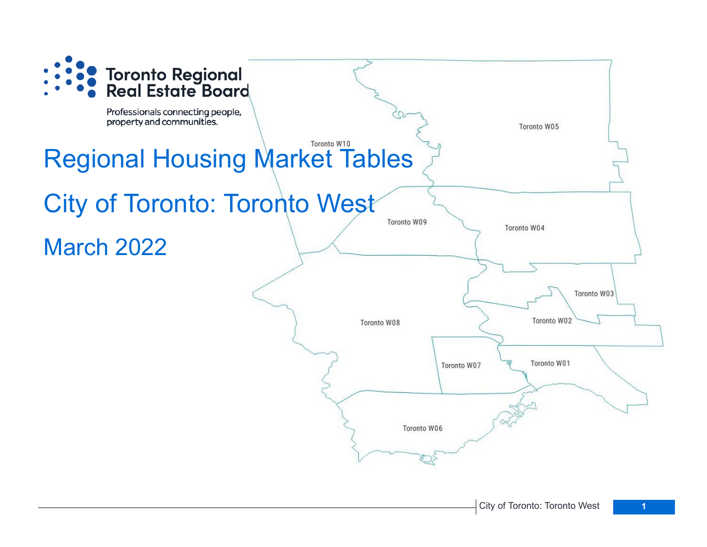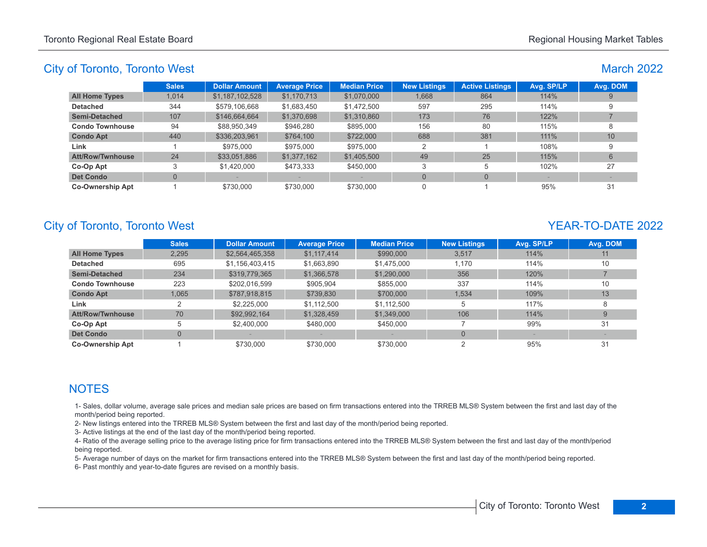March 2022

## City of Toronto, Toronto West

|                         | <b>Sales</b> | <b>Dollar Amount</b> | <b>Average Price</b> | <b>Median Price</b> | <b>New Listings</b> | <b>Active Listings</b> | Avg. SP/LP | Avg. DOM |
|-------------------------|--------------|----------------------|----------------------|---------------------|---------------------|------------------------|------------|----------|
| All Home Types          | 1.014        | \$1,187,102,528      | \$1,170,713          | \$1,070,000         | 1,668               | 864                    | 114%       |          |
| Detached                | 344          | \$579,106,668        | \$1,683,450          | \$1,472,500         | 597                 | 295                    | 114%       |          |
| Semi-Detached           | 107          | \$146,664,664        | \$1,370,698          | \$1,310,860         | 173                 | 76                     | 122%       |          |
| <b>Condo Townhouse</b>  | 94           | \$88,950,349         | \$946.280            | \$895,000           | 156                 | 80                     | 115%       |          |
| <b>Condo Apt</b>        | 440          | \$336,203,961        | \$764,100            | \$722,000           | 688                 | 381                    | 111%       | 10       |
| Link                    |              | \$975,000            | \$975,000            | \$975,000           | 2                   |                        | 108%       |          |
| <b>Att/Row/Twnhouse</b> | 24           | \$33,051,886         | \$1,377,162          | \$1,405,500         | 49                  | 25                     | 115%       | 6        |
| Co-Op Apt               |              | \$1,420,000          | \$473,333            | \$450,000           | 3                   | 5                      | 102%       | 27       |
| <b>Det Condo</b>        | 0            |                      |                      |                     | $\Omega$            | $\Omega$               |            |          |
| Co-Ownership Apt        |              | \$730,000            | \$730,000            | \$730,000           |                     |                        | 95%        | 31       |
|                         |              |                      |                      |                     |                     |                        |            |          |

# City of Toronto, Toronto West **YEAR-TO-DATE** 2022

|                         | <b>Sales</b>   | <b>Dollar Amount</b> | <b>Average Price</b> | <b>Median Price</b> | <b>New Listings</b> | Avg. SP/LP | Avg. DOM |
|-------------------------|----------------|----------------------|----------------------|---------------------|---------------------|------------|----------|
| <b>All Home Types</b>   | 2,295          | \$2,564,465,358      | \$1,117,414          | \$990,000           | 3,517               | 114%       | 11       |
| <b>Detached</b>         | 695            | \$1,156,403,415      | \$1,663,890          | \$1,475,000         | 1.170               | 114%       | 10       |
| Semi-Detached           | 234            | \$319,779,365        | \$1,366,578          | \$1,290,000         | 356                 | 120%       |          |
| <b>Condo Townhouse</b>  | 223            | \$202.016.599        | \$905.904            | \$855,000           | 337                 | 114%       | 10       |
| <b>Condo Apt</b>        | 1,065          | \$787,918,815        | \$739.830            | \$700,000           | 1.534               | 109%       | 13       |
| Link                    | 2              | \$2,225,000          | \$1,112,500          | \$1.112.500         | 5                   | 117%       | 8        |
| <b>Att/Row/Twnhouse</b> | 70             | \$92,992,164         | \$1,328,459          | \$1,349,000         | 106                 | 114%       |          |
| Co-Op Apt               | 5              | \$2,400,000          | \$480,000            | \$450,000           |                     | 99%        | 31       |
| <b>Det Condo</b>        | $\overline{0}$ |                      |                      |                     | $\Omega$            |            |          |
| <b>Co-Ownership Apt</b> |                | \$730,000            | \$730,000            | \$730,000           |                     | 95%        | 31       |

# **NOTES**

1- Sales, dollar volume, average sale prices and median sale prices are based on firm transactions entered into the TRREB MLS® System between the first and last day of the month/period being reported.

2- New listings entered into the TRREB MLS® System between the first and last day of the month/period being reported.

3- Active listings at the end of the last day of the month/period being reported.

4- Ratio of the average selling price to the average listing price for firm transactions entered into the TRREB MLS® System between the first and last day of the month/period being reported.

5- Average number of days on the market for firm transactions entered into the TRREB MLS® System between the first and last day of the month/period being reported.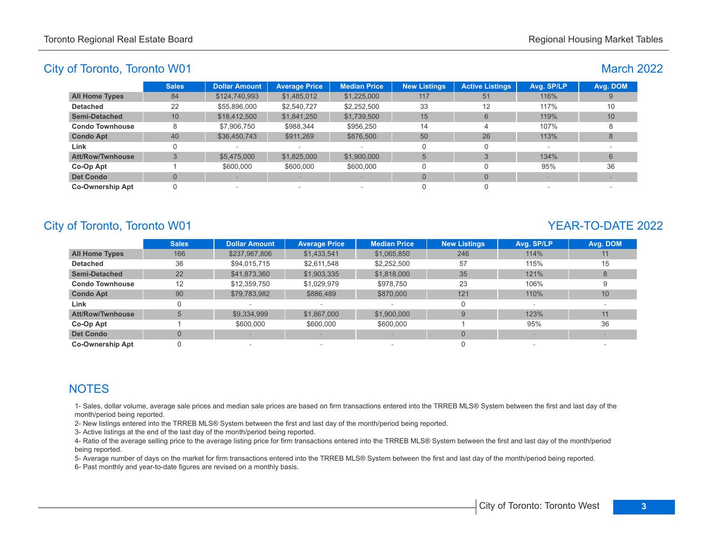| <b>March 2022</b> |  |
|-------------------|--|
|                   |  |

|                         | <b>Sales</b> | <b>Dollar Amount</b> | <b>Average Price</b> | <b>Median Price</b>      | <b>New Listings</b> | <b>Active Listings</b> | Avg. SP/LP | Avg. DOM |
|-------------------------|--------------|----------------------|----------------------|--------------------------|---------------------|------------------------|------------|----------|
| <b>All Home Types</b>   | 84           | \$124,740,993        | \$1,485,012          | \$1,225,000              | 117                 | 51                     | 116%       |          |
| <b>Detached</b>         | 22           | \$55,896,000         | \$2,540,727          | \$2,252,500              | 33                  | 12                     | 117%       | 10       |
| <b>Semi-Detached</b>    | 10           | \$18,412,500         | \$1,841,250          | \$1,739,500              | 15                  | 6                      | 119%       | 10       |
| <b>Condo Townhouse</b>  | 8            | \$7,906.750          | \$988,344            | \$956.250                | 14                  | 4                      | 107%       |          |
| <b>Condo Apt</b>        | 40           | \$36,450,743         | \$911,269            | \$876,500                | 50                  | 26                     | 113%       | 8        |
| Link                    |              |                      |                      | $\sim$                   |                     |                        | $\sim$     |          |
| <b>Att/Row/Twnhouse</b> |              | \$5,475,000          | \$1,825,000          | \$1,900,000              | 5                   |                        | 134%       | 6        |
| Co-Op Apt               |              | \$600,000            | \$600,000            | \$600,000                |                     |                        | 95%        | 36       |
| <b>Det Condo</b>        |              |                      |                      |                          |                     | $\Omega$               |            |          |
| <b>Co-Ownership Apt</b> |              |                      |                      | $\overline{\phantom{a}}$ |                     |                        |            |          |

# City of Toronto, Toronto W01 YEAR-TO-DATE 2022

|                         | <b>Sales</b>   | <b>Dollar Amount</b> | <b>Average Price</b> | <b>Median Price</b> | <b>New Listings</b> | Avg. SP/LP | Avg. DOM |
|-------------------------|----------------|----------------------|----------------------|---------------------|---------------------|------------|----------|
| <b>All Home Types</b>   | 166            | \$237,967,806        | \$1,433,541          | \$1,065,850         | 246                 | 114%       | 11       |
| <b>Detached</b>         | 36             | \$94,015,715         | \$2,611,548          | \$2,252,500         | 57                  | 115%       | 15       |
| <b>Semi-Detached</b>    | 22             | \$41,873,360         | \$1,903,335          | \$1,818,000         | 35                  | 121%       | 8        |
| <b>Condo Townhouse</b>  | 12             | \$12,359,750         | \$1,029,979          | \$978.750           | 23                  | 106%       |          |
| <b>Condo Apt</b>        | 90             | \$79,783,982         | \$886,489            | \$870,000           | 121                 | 110%       | 10       |
| Link                    |                |                      |                      |                     |                     |            |          |
| <b>Att/Row/Twnhouse</b> | 5              | \$9,334,999          | \$1,867,000          | \$1,900,000         | $\mathbf{Q}$        | 123%       | 11       |
| Co-Op Apt               |                | \$600,000            | \$600,000            | \$600,000           |                     | 95%        | 36       |
| <b>Det Condo</b>        | $\overline{0}$ |                      |                      |                     | $\Omega$            |            |          |
| <b>Co-Ownership Apt</b> |                |                      | $\sim$               |                     |                     |            |          |

# **NOTES**

1- Sales, dollar volume, average sale prices and median sale prices are based on firm transactions entered into the TRREB MLS® System between the first and last day of the month/period being reported.

2- New listings entered into the TRREB MLS® System between the first and last day of the month/period being reported.

3- Active listings at the end of the last day of the month/period being reported.

4- Ratio of the average selling price to the average listing price for firm transactions entered into the TRREB MLS® System between the first and last day of the month/period being reported.

5- Average number of days on the market for firm transactions entered into the TRREB MLS® System between the first and last day of the month/period being reported.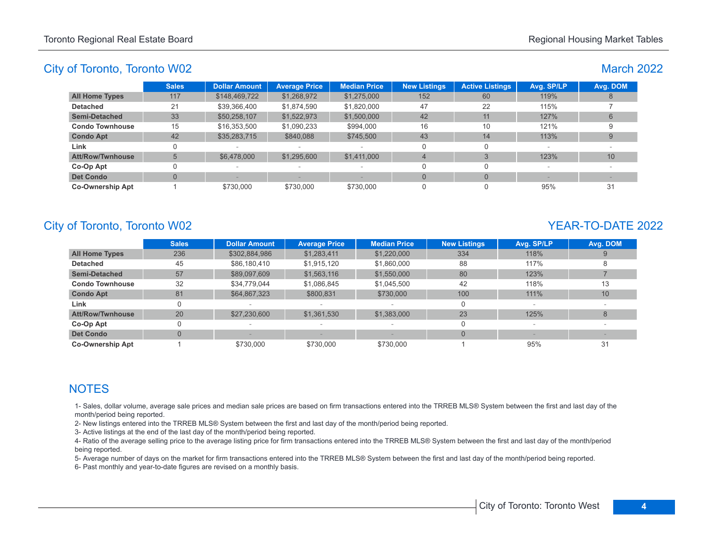### March 2022

|                         | <b>Sales</b> | <b>Dollar Amount</b> | <b>Average Price</b> | <b>Median Price</b>      | <b>New Listings</b> | <b>Active Listings</b> | Avg. SP/LP | Avg. DOM |
|-------------------------|--------------|----------------------|----------------------|--------------------------|---------------------|------------------------|------------|----------|
| <b>All Home Types</b>   | 117          | \$148,469,722        | \$1,268,972          | \$1,275,000              | 152                 | 60                     | 119%       |          |
| <b>Detached</b>         | 21           | \$39,366,400         | \$1.874.590          | \$1.820.000              | 47                  | 22                     | 115%       |          |
| <b>Semi-Detached</b>    | 33           | \$50,258,107         | \$1,522,973          | \$1,500,000              | 42                  | 11                     | 127%       | 6        |
| <b>Condo Townhouse</b>  | 15           | \$16,353,500         | \$1,090,233          | \$994.000                | 16                  | 10                     | 121%       |          |
| <b>Condo Apt</b>        | 42           | \$35,283,715         | \$840,088            | \$745,500                | 43                  | 14                     | 113%       | 9        |
| Link                    |              |                      |                      |                          | O                   |                        |            |          |
| <b>Att/Row/Twnhouse</b> |              | \$6,478,000          | \$1,295,600          | \$1,411,000              | $\overline{4}$      |                        | 123%       | 10       |
| Co-Op Apt               |              |                      | $\,$                 | $\overline{\phantom{a}}$ |                     |                        |            |          |
| <b>Det Condo</b>        |              |                      |                      |                          | $\Omega$            |                        |            |          |
| <b>Co-Ownership Apt</b> |              | \$730,000            | \$730,000            | \$730,000                | 0                   |                        | 95%        | 31       |

# City of Toronto, Toronto W02 YEAR-TO-DATE 2022

|                         | <b>Sales</b> | <b>Dollar Amount</b> | <b>Average Price</b> | <b>Median Price</b> | <b>New Listings</b> | Avg. SP/LP | Avg. DOM |
|-------------------------|--------------|----------------------|----------------------|---------------------|---------------------|------------|----------|
| <b>All Home Types</b>   | 236          | \$302,884,986        | \$1,283,411          | \$1,220,000         | 334                 | 118%       |          |
| <b>Detached</b>         | 45           | \$86,180,410         | \$1,915,120          | \$1,860,000         | 88                  | 117%       |          |
| <b>Semi-Detached</b>    | 57           | \$89,097,609         | \$1,563,116          | \$1,550,000         | 80                  | 123%       |          |
| <b>Condo Townhouse</b>  | 32           | \$34,779,044         | \$1,086,845          | \$1,045,500         | 42                  | 118%       | 13       |
| <b>Condo Apt</b>        | 81           | \$64,867,323         | \$800,831            | \$730,000           | 100                 | 111%       | 10       |
| Link                    |              |                      |                      |                     | 0                   |            |          |
| <b>Att/Row/Twnhouse</b> | 20           | \$27,230,600         | \$1,361,530          | \$1,383,000         | 23                  | 125%       | 8        |
| Co-Op Apt               |              |                      |                      |                     | $\Omega$            |            |          |
| <b>Det Condo</b>        | 0            |                      |                      |                     |                     |            |          |
| <b>Co-Ownership Apt</b> |              | \$730,000            | \$730,000            | \$730,000           |                     | 95%        | 31       |

# **NOTES**

1- Sales, dollar volume, average sale prices and median sale prices are based on firm transactions entered into the TRREB MLS® System between the first and last day of the month/period being reported.

2- New listings entered into the TRREB MLS® System between the first and last day of the month/period being reported.

3- Active listings at the end of the last day of the month/period being reported.

4- Ratio of the average selling price to the average listing price for firm transactions entered into the TRREB MLS® System between the first and last day of the month/period being reported.

5- Average number of days on the market for firm transactions entered into the TRREB MLS® System between the first and last day of the month/period being reported.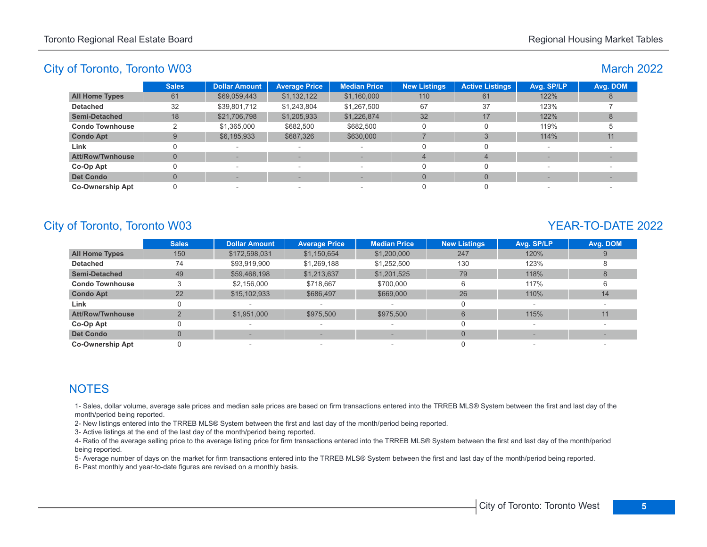# March 2022

|                         | <b>Sales</b> | <b>Dollar Amount</b> | <b>Average Price</b>            | <b>Median Price</b>      | <b>New Listings</b> | <b>Active Listings</b> | Avg. SP/LP     | Avg. DOM |
|-------------------------|--------------|----------------------|---------------------------------|--------------------------|---------------------|------------------------|----------------|----------|
| <b>All Home Types</b>   | 61           | \$69,059,443         | \$1,132,122                     | \$1,160,000              | 110                 | 61                     | 122%           |          |
| <b>Detached</b>         | 32           | \$39,801,712         | \$1,243,804                     | \$1,267,500              | 67                  | 37                     | 123%           |          |
| <b>Semi-Detached</b>    | 18           | \$21,706,798         | \$1,205,933                     | \$1,226,874              | 32                  | 17                     | 122%           |          |
| <b>Condo Townhouse</b>  |              | \$1,365,000          | \$682,500                       | \$682,500                |                     |                        | 119%           |          |
| <b>Condo Apt</b>        | 9            | \$6,185,933          | \$687,326                       | \$630,000                |                     |                        | 114%           | 11       |
| Link                    |              | $\sim$               | $\hspace{0.1mm}-\hspace{0.1mm}$ | $\overline{\phantom{a}}$ |                     |                        | <b>Service</b> |          |
| Att/Row/Twnhouse        | U            |                      |                                 |                          |                     | 4                      |                |          |
| Co-Op Apt               |              | $\sim$               | $\hspace{0.1mm}-\hspace{0.1mm}$ | $\overline{\phantom{a}}$ |                     |                        |                |          |
| <b>Det Condo</b>        |              |                      |                                 |                          |                     | $\Omega$               |                |          |
| <b>Co-Ownership Apt</b> |              | $\sim$               | $\sim$                          | $\overline{\phantom{a}}$ |                     |                        |                |          |

# City of Toronto, Toronto W03 YEAR-TO-DATE 2022

|                         | <b>Sales</b>   | <b>Dollar Amount</b> | <b>Average Price</b>     | <b>Median Price</b> | <b>New Listings</b> | Avg. SP/LP | Avg. DOM |
|-------------------------|----------------|----------------------|--------------------------|---------------------|---------------------|------------|----------|
| <b>All Home Types</b>   | 150            | \$172,598,031        | \$1,150,654              | \$1,200,000         | 247                 | 120%       |          |
| <b>Detached</b>         | 74             | \$93,919,900         | \$1,269,188              | \$1,252,500         | 130                 | 123%       |          |
| <b>Semi-Detached</b>    | 49             | \$59,468,198         | \$1,213,637              | \$1,201,525         | 79                  | 118%       |          |
| <b>Condo Townhouse</b>  | 3              | \$2,156,000          | \$718.667                | \$700,000           | 6                   | 117%       |          |
| <b>Condo Apt</b>        | 22             | \$15,102,933         | \$686,497                | \$669,000           | 26                  | 110%       | 14       |
| Link                    | 0              |                      |                          |                     |                     |            |          |
| <b>Att/Row/Twnhouse</b> |                | \$1,951,000          | \$975,500                | \$975,500           | 6                   | 115%       | 11       |
| Co-Op Apt               | 0              |                      |                          |                     |                     |            |          |
| <b>Det Condo</b>        | $\overline{0}$ |                      |                          |                     | $\Omega$            |            |          |
| <b>Co-Ownership Apt</b> |                |                      | $\overline{\phantom{a}}$ |                     |                     |            |          |

# **NOTES**

1- Sales, dollar volume, average sale prices and median sale prices are based on firm transactions entered into the TRREB MLS® System between the first and last day of the month/period being reported.

2- New listings entered into the TRREB MLS® System between the first and last day of the month/period being reported.

3- Active listings at the end of the last day of the month/period being reported.

4- Ratio of the average selling price to the average listing price for firm transactions entered into the TRREB MLS® System between the first and last day of the month/period being reported.

5- Average number of days on the market for firm transactions entered into the TRREB MLS® System between the first and last day of the month/period being reported.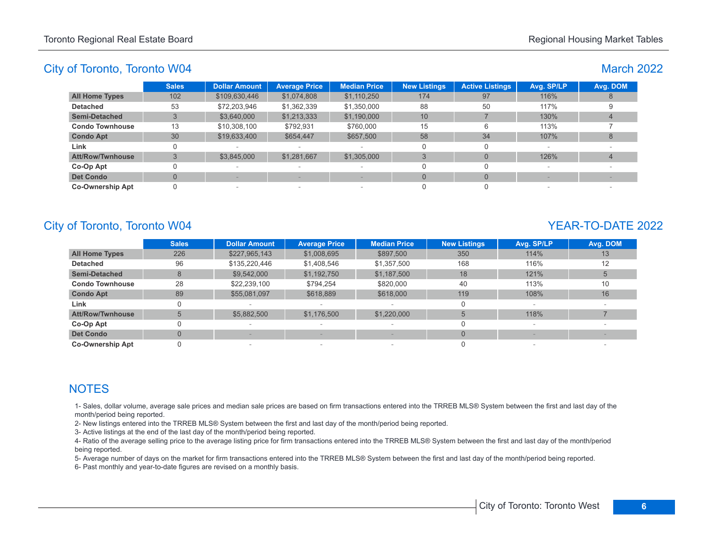# March 2022

|                         | <b>Sales</b> | <b>Dollar Amount</b> | <b>Average Price</b> | <b>Median Price</b>      | <b>New Listings</b> | <b>Active Listings</b> | Avg. SP/LP | Avg. DOM |
|-------------------------|--------------|----------------------|----------------------|--------------------------|---------------------|------------------------|------------|----------|
| <b>All Home Types</b>   | 102          | \$109,630,446        | \$1,074,808          | \$1,110,250              | 174                 | 97                     | 116%       |          |
| <b>Detached</b>         | 53           | \$72,203,946         | \$1,362,339          | \$1,350,000              | 88                  | 50                     | 117%       |          |
| <b>Semi-Detached</b>    |              | \$3,640,000          | \$1,213,333          | \$1,190,000              | 10                  |                        | 130%       |          |
| <b>Condo Townhouse</b>  | 13           | \$10,308,100         | \$792,931            | \$760,000                | 15                  | 6                      | 113%       |          |
| <b>Condo Apt</b>        | 30           | \$19,633,400         | \$654,447            | \$657,500                | 58                  | 34                     | 107%       |          |
| Link                    |              |                      |                      |                          |                     | 0                      | -          |          |
| <b>Att/Row/Twnhouse</b> |              | \$3,845,000          | \$1,281,667          | \$1,305,000              |                     | $\Omega$               | 126%       |          |
| Co-Op Apt               |              | -                    |                      | $\overline{\phantom{a}}$ |                     |                        |            |          |
| <b>Det Condo</b>        |              |                      |                      |                          | $\Omega$            | $\Omega$               |            |          |
| <b>Co-Ownership Apt</b> |              | $\qquad \qquad$      | $\sim$               | $\overline{\phantom{a}}$ |                     |                        |            |          |

# City of Toronto, Toronto W04 YEAR-TO-DATE 2022

|                         | <b>Sales</b>   | <b>Dollar Amount</b> | <b>Average Price</b>     | <b>Median Price</b> | <b>New Listings</b> | Avg. SP/LP | Avg. DOM |
|-------------------------|----------------|----------------------|--------------------------|---------------------|---------------------|------------|----------|
| <b>All Home Types</b>   | 226            | \$227,965,143        | \$1,008,695              | \$897,500           | 350                 | 114%       | 13       |
| <b>Detached</b>         | 96             | \$135,220,446        | \$1,408,546              | \$1,357,500         | 168                 | 116%       | 12       |
| <b>Semi-Detached</b>    | 8              | \$9,542,000          | \$1,192,750              | \$1,187,500         | 18                  | 121%       |          |
| <b>Condo Townhouse</b>  | 28             | \$22,239,100         | \$794.254                | \$820,000           | 40                  | 113%       | 10       |
| <b>Condo Apt</b>        | 89             | \$55,081,097         | \$618,889                | \$618,000           | 119                 | 108%       | 16       |
| Link                    | 0              |                      |                          |                     |                     |            |          |
| <b>Att/Row/Twnhouse</b> |                | \$5,882,500          | \$1,176,500              | \$1,220,000         |                     | 118%       |          |
| Co-Op Apt               | 0              |                      |                          |                     |                     |            |          |
| <b>Det Condo</b>        | $\overline{0}$ |                      |                          |                     | $\Omega$            |            |          |
| <b>Co-Ownership Apt</b> |                |                      | $\overline{\phantom{a}}$ |                     |                     |            |          |

# **NOTES**

1- Sales, dollar volume, average sale prices and median sale prices are based on firm transactions entered into the TRREB MLS® System between the first and last day of the month/period being reported.

2- New listings entered into the TRREB MLS® System between the first and last day of the month/period being reported.

3- Active listings at the end of the last day of the month/period being reported.

4- Ratio of the average selling price to the average listing price for firm transactions entered into the TRREB MLS® System between the first and last day of the month/period being reported.

5- Average number of days on the market for firm transactions entered into the TRREB MLS® System between the first and last day of the month/period being reported.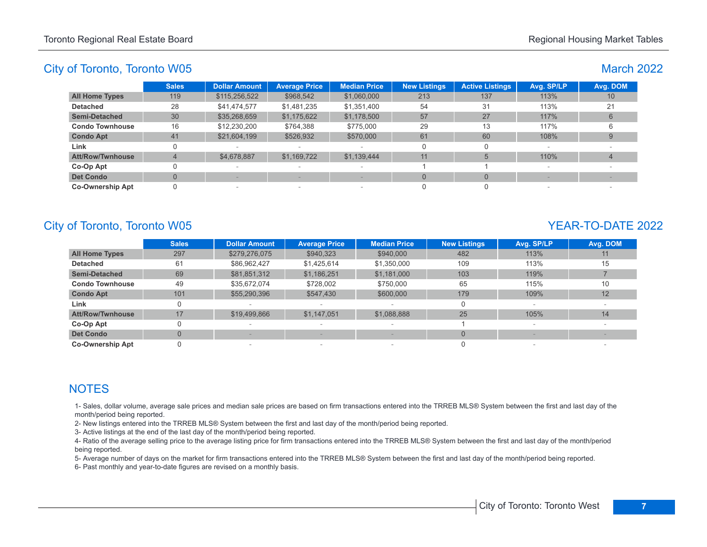March 2022

### City of Toronto, Toronto W05

| <b>Sales</b> | <b>Dollar Amount</b> | <b>Average Price</b> | <b>Median Price</b> | <b>New Listings</b> | <b>Active Listings</b> | Avg. SP/LP | Avg. DOM |
|--------------|----------------------|----------------------|---------------------|---------------------|------------------------|------------|----------|
| 119          | \$115,256,522        | \$968,542            | \$1,060,000         | 213                 | 137                    | 113%       | 10       |
| 28           | \$41,474,577         | \$1,481,235          | \$1,351,400         | 54                  | 31                     | 113%       | 21       |
| 30           | \$35,268,659         | \$1,175,622          | \$1,178,500         | 57                  | 27                     | 117%       |          |
| 16           | \$12,230,200         | \$764,388            | \$775,000           | 29                  | 13                     | 117%       |          |
| 41           | \$21,604,199         | \$526,932            | \$570,000           | 61                  | 60                     | 108%       |          |
|              |                      |                      |                     |                     |                        |            |          |
|              | \$4,678,887          | \$1,169,722          | \$1,139,444         | 11                  | 5                      | 110%       |          |
|              |                      |                      |                     |                     |                        |            |          |
|              |                      |                      |                     | $\Omega$            |                        |            |          |
|              |                      |                      |                     |                     |                        |            |          |
|              |                      |                      |                     |                     |                        |            |          |

# City of Toronto, Toronto W05 YEAR-TO-DATE 2022

|                         | <b>Sales</b> | <b>Dollar Amount</b> | <b>Average Price</b>     | <b>Median Price</b>      | <b>New Listings</b> | Avg. SP/LP               | Avg. DOM |
|-------------------------|--------------|----------------------|--------------------------|--------------------------|---------------------|--------------------------|----------|
| <b>All Home Types</b>   | 297          | \$279,276,075        | \$940,323                | \$940,000                | 482                 | 113%                     | 11       |
| <b>Detached</b>         | 61           | \$86,962,427         | \$1.425.614              | \$1,350,000              | 109                 | 113%                     | 15       |
| <b>Semi-Detached</b>    | 69           | \$81,851,312         | \$1,186,251              | \$1,181,000              | 103                 | 119%                     |          |
| <b>Condo Townhouse</b>  | 49           | \$35,672,074         | \$728,002                | \$750,000                | 65                  | 115%                     | 10       |
| <b>Condo Apt</b>        | 101          | \$55,290,396         | \$547,430                | \$600,000                | 179                 | 109%                     | 12       |
| Link                    | 0            |                      |                          | $\overline{\phantom{a}}$ | $\Omega$            | $\overline{\phantom{a}}$ |          |
| <b>Att/Row/Twnhouse</b> | 17           | \$19,499,866         | \$1,147,051              | \$1,088,888              | 25                  | 105%                     | 14       |
| Co-Op Apt               |              |                      |                          | $\overline{\phantom{a}}$ |                     | $\overline{\phantom{a}}$ |          |
| <b>Det Condo</b>        | $\Omega$     |                      |                          |                          | $\Omega$            |                          |          |
| <b>Co-Ownership Apt</b> |              |                      | $\overline{\phantom{a}}$ | $\overline{\phantom{a}}$ |                     |                          |          |

# **NOTES**

1- Sales, dollar volume, average sale prices and median sale prices are based on firm transactions entered into the TRREB MLS® System between the first and last day of the month/period being reported.

2- New listings entered into the TRREB MLS® System between the first and last day of the month/period being reported.

3- Active listings at the end of the last day of the month/period being reported.

4- Ratio of the average selling price to the average listing price for firm transactions entered into the TRREB MLS® System between the first and last day of the month/period being reported.

5- Average number of days on the market for firm transactions entered into the TRREB MLS® System between the first and last day of the month/period being reported.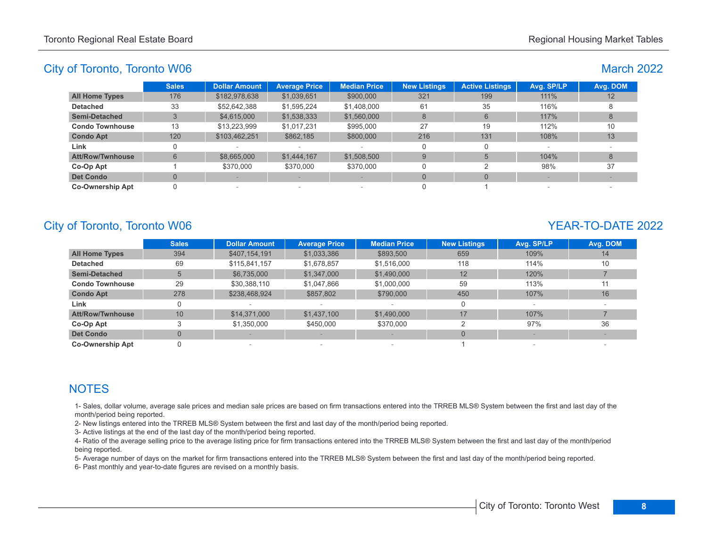# March 2022

|                         | <b>Sales</b> | <b>Dollar Amount</b> | <b>Average Price</b> | <b>Median Price</b> | <b>New Listings</b> | <b>Active Listings</b> | Avg. SP/LP | Avg. DOM |
|-------------------------|--------------|----------------------|----------------------|---------------------|---------------------|------------------------|------------|----------|
| <b>All Home Types</b>   | 176          | \$182,978,638        | \$1,039,651          | \$900,000           | 321                 | 199                    | 111%       | 12       |
| <b>Detached</b>         | 33           | \$52,642,388         | \$1,595,224          | \$1,408,000         | 61                  | 35                     | 116%       |          |
| <b>Semi-Detached</b>    |              | \$4,615,000          | \$1,538,333          | \$1,560,000         | 8                   | 6                      | 117%       | 8        |
| <b>Condo Townhouse</b>  | 13           | \$13,223,999         | \$1,017,231          | \$995,000           | 27                  | 19                     | 112%       | 10       |
| <b>Condo Apt</b>        | 120          | \$103,462,251        | \$862,185            | \$800,000           | 216                 | 131                    | 108%       | 13       |
| Link                    |              |                      | $\sim$               |                     | 0                   |                        |            |          |
| <b>Att/Row/Twnhouse</b> | 6            | \$8,665,000          | \$1,444,167          | \$1,508,500         | 9                   |                        | 104%       | 8        |
| Co-Op Apt               |              | \$370,000            | \$370,000            | \$370,000           | O                   |                        | 98%        | 37       |
| <b>Det Condo</b>        |              |                      |                      |                     | $\Omega$            | $\Omega$               |            |          |
| <b>Co-Ownership Apt</b> |              |                      | $\sim$               | $\sim$              |                     |                        |            |          |

# City of Toronto, Toronto W06 YEAR-TO-DATE 2022

|                         | <b>Sales</b> | <b>Dollar Amount</b> | <b>Average Price</b>     | <b>Median Price</b> | <b>New Listings</b> | Avg. SP/LP | Avg. DOM |
|-------------------------|--------------|----------------------|--------------------------|---------------------|---------------------|------------|----------|
| <b>All Home Types</b>   | 394          | \$407,154,191        | \$1,033,386              | \$893,500           | 659                 | 109%       | 14       |
| <b>Detached</b>         | 69           | \$115,841,157        | \$1,678,857              | \$1,516,000         | 118                 | 114%       | 10       |
| <b>Semi-Detached</b>    | 5            | \$6,735,000          | \$1,347,000              | \$1,490,000         | 12                  | 120%       |          |
| <b>Condo Townhouse</b>  | 29           | \$30,388,110         | \$1,047,866              | \$1,000,000         | 59                  | 113%       | 11       |
| <b>Condo Apt</b>        | 278          | \$238,468,924        | \$857,802                | \$790,000           | 450                 | 107%       | 16       |
| Link                    | 0            |                      |                          |                     |                     |            |          |
| <b>Att/Row/Twnhouse</b> | 10           | \$14,371,000         | \$1,437,100              | \$1,490,000         | 17                  | 107%       |          |
| Co-Op Apt               |              | \$1,350,000          | \$450,000                | \$370,000           |                     | 97%        | 36       |
| <b>Det Condo</b>        | $\Omega$     |                      |                          |                     |                     |            |          |
| <b>Co-Ownership Apt</b> |              |                      | $\overline{\phantom{a}}$ |                     |                     |            |          |

# **NOTES**

1- Sales, dollar volume, average sale prices and median sale prices are based on firm transactions entered into the TRREB MLS® System between the first and last day of the month/period being reported.

2- New listings entered into the TRREB MLS® System between the first and last day of the month/period being reported.

3- Active listings at the end of the last day of the month/period being reported.

4- Ratio of the average selling price to the average listing price for firm transactions entered into the TRREB MLS® System between the first and last day of the month/period being reported.

5- Average number of days on the market for firm transactions entered into the TRREB MLS® System between the first and last day of the month/period being reported.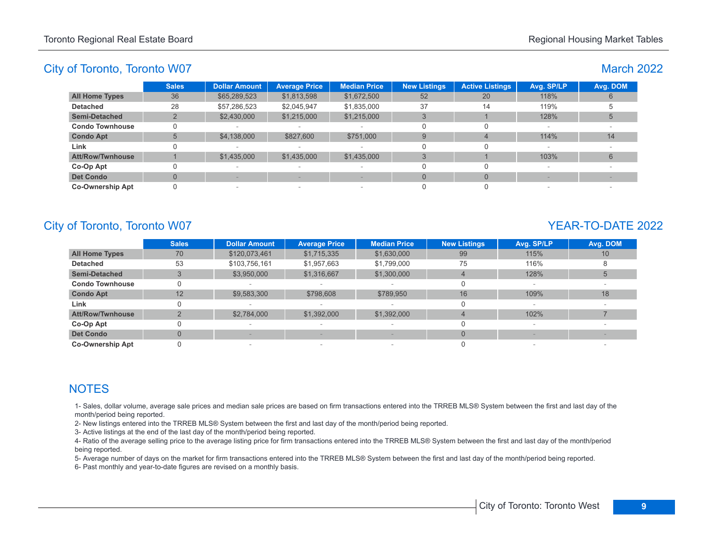# March 2022

|                         | <b>Sales</b> | <b>Dollar Amount</b>     | <b>Average Price</b>            | <b>Median Price</b>      | <b>New Listings</b> | <b>Active Listings</b> | Avg. SP/LP | Avg. DOM |
|-------------------------|--------------|--------------------------|---------------------------------|--------------------------|---------------------|------------------------|------------|----------|
| <b>All Home Types</b>   | 36           | \$65,289,523             | \$1,813,598                     | \$1,672,500              | 52                  | 20                     | 118%       |          |
| <b>Detached</b>         | 28           | \$57,286,523             | \$2,045,947                     | \$1,835,000              | 37                  | 14                     | 119%       |          |
| Semi-Detached           |              | \$2,430,000              | \$1,215,000                     | \$1,215,000              |                     |                        | 128%       |          |
| <b>Condo Townhouse</b>  |              |                          |                                 | $\overline{\phantom{a}}$ |                     |                        |            |          |
| <b>Condo Apt</b>        | 5            | \$4,138,000              | \$827,600                       | \$751,000                | 9                   | 4                      | 114%       | 14       |
| Link                    |              | $\sim$                   | $\sim$                          | $\overline{\phantom{a}}$ |                     |                        | $\sim$     |          |
| <b>Att/Row/Twnhouse</b> |              | \$1,435,000              | \$1,435,000                     | \$1,435,000              |                     |                        | 103%       |          |
| Co-Op Apt               |              | $\overline{\phantom{a}}$ | $\hspace{0.1mm}-\hspace{0.1mm}$ | $\overline{\phantom{a}}$ |                     |                        |            |          |
| <b>Det Condo</b>        |              |                          |                                 |                          |                     | $\Omega$               |            |          |
| <b>Co-Ownership Apt</b> |              | $\overline{\phantom{a}}$ |                                 | $\overline{\phantom{a}}$ |                     |                        |            |          |

# City of Toronto, Toronto W07 YEAR-TO-DATE 2022

|                         | <b>Sales</b>   | <b>Dollar Amount</b> | <b>Average Price</b> | <b>Median Price</b> | <b>New Listings</b> | Avg. SP/LP               | Avg. DOM |
|-------------------------|----------------|----------------------|----------------------|---------------------|---------------------|--------------------------|----------|
| <b>All Home Types</b>   | 70             | \$120,073,461        | \$1,715,335          | \$1,630,000         | 99                  | 115%                     | 10       |
| <b>Detached</b>         | 53             | \$103,756,161        | \$1,957,663          | \$1,799,000         | 75                  | 116%                     |          |
| <b>Semi-Detached</b>    |                | \$3,950,000          | \$1,316,667          | \$1,300,000         |                     | 128%                     | 5        |
| <b>Condo Townhouse</b>  | 0              |                      |                      |                     |                     |                          |          |
| <b>Condo Apt</b>        | 12             | \$9,583,300          | \$798,608            | \$789,950           | 16                  | 109%                     | 18       |
| Link                    | 0              |                      |                      |                     |                     |                          |          |
| <b>Att/Row/Twnhouse</b> | $\Omega$       | \$2,784,000          | \$1,392,000          | \$1,392,000         |                     | 102%                     |          |
| Co-Op Apt               | 0              |                      |                      |                     |                     | $\overline{\phantom{a}}$ |          |
| <b>Det Condo</b>        | $\overline{0}$ |                      |                      |                     | $\Omega$            |                          |          |
| <b>Co-Ownership Apt</b> | 0              |                      | $\sim$               |                     |                     |                          |          |

# **NOTES**

1- Sales, dollar volume, average sale prices and median sale prices are based on firm transactions entered into the TRREB MLS® System between the first and last day of the month/period being reported.

2- New listings entered into the TRREB MLS® System between the first and last day of the month/period being reported.

3- Active listings at the end of the last day of the month/period being reported.

4- Ratio of the average selling price to the average listing price for firm transactions entered into the TRREB MLS® System between the first and last day of the month/period being reported.

5- Average number of days on the market for firm transactions entered into the TRREB MLS® System between the first and last day of the month/period being reported.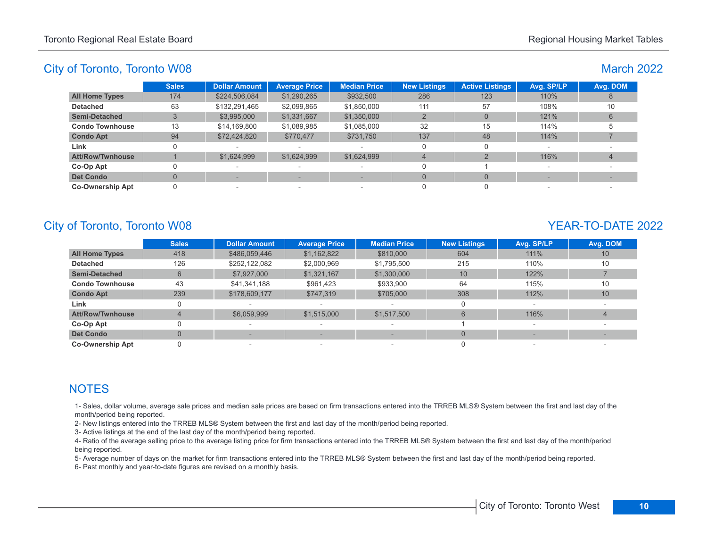# March 2022

|                         | <b>Sales</b> | <b>Dollar Amount</b> | <b>Average Price</b>     | <b>Median Price</b>      | <b>New Listings</b> | <b>Active Listings</b> | Avg. SP/LP               | Avg. DOM |
|-------------------------|--------------|----------------------|--------------------------|--------------------------|---------------------|------------------------|--------------------------|----------|
| <b>All Home Types</b>   | 174          | \$224,506,084        | \$1,290,265              | \$932,500                | 286                 | 123                    | 110%                     |          |
| <b>Detached</b>         | 63           | \$132,291,465        | \$2,099,865              | \$1,850,000              | 111                 | 57                     | 108%                     | 10       |
| <b>Semi-Detached</b>    |              | \$3,995,000          | \$1,331,667              | \$1,350,000              |                     | $\Omega$               | 121%                     |          |
| <b>Condo Townhouse</b>  | 13           | \$14,169,800         | \$1,089,985              | \$1,085,000              | 32                  | 15                     | 114%                     |          |
| <b>Condo Apt</b>        | 94           | \$72,424,820         | \$770,477                | \$731,750                | 137                 | 48                     | 114%                     |          |
| Link                    |              |                      |                          |                          |                     | 0                      |                          |          |
| <b>Att/Row/Twnhouse</b> |              | \$1,624,999          | \$1,624,999              | \$1,624,999              | 4                   |                        | 116%                     |          |
| Co-Op Apt               |              | $\,$                 | $\overline{\phantom{a}}$ | $\overline{\phantom{a}}$ |                     |                        | $\overline{\phantom{a}}$ |          |
| <b>Det Condo</b>        |              |                      |                          |                          |                     | $\Omega$               |                          |          |
| <b>Co-Ownership Apt</b> |              |                      | $\sim$                   | $\sim$                   |                     |                        |                          |          |

# City of Toronto, Toronto W08 YEAR-TO-DATE 2022

|                         | <b>Sales</b> | <b>Dollar Amount</b> | <b>Average Price</b>     | <b>Median Price</b> | <b>New Listings</b> | Avg. SP/LP | Avg. DOM |
|-------------------------|--------------|----------------------|--------------------------|---------------------|---------------------|------------|----------|
| <b>All Home Types</b>   | 418          | \$486,059,446        | \$1,162,822              | \$810,000           | 604                 | 111%       | 10       |
| <b>Detached</b>         | 126          | \$252.122.082        | \$2,000,969              | \$1,795,500         | 215                 | 110%       | 10       |
| <b>Semi-Detached</b>    | 6            | \$7,927,000          | \$1,321,167              | \$1,300,000         | 10                  | 122%       |          |
| <b>Condo Townhouse</b>  | 43           | \$41,341,188         | \$961,423                | \$933,900           | 64                  | 115%       | 10       |
| <b>Condo Apt</b>        | 239          | \$178,609,177        | \$747.319                | \$705,000           | 308                 | 112%       | 10       |
| Link                    | 0            |                      |                          |                     | 0                   |            |          |
| <b>Att/Row/Twnhouse</b> | 4            | \$6,059,999          | \$1,515,000              | \$1,517,500         | 6                   | 116%       | 4        |
| Co-Op Apt               | 0            |                      |                          |                     |                     |            |          |
| <b>Det Condo</b>        | $\Omega$     |                      |                          |                     | $\Omega$            |            |          |
| <b>Co-Ownership Apt</b> |              |                      | $\overline{\phantom{a}}$ |                     |                     |            |          |

# **NOTES**

1- Sales, dollar volume, average sale prices and median sale prices are based on firm transactions entered into the TRREB MLS® System between the first and last day of the month/period being reported.

2- New listings entered into the TRREB MLS® System between the first and last day of the month/period being reported.

3- Active listings at the end of the last day of the month/period being reported.

4- Ratio of the average selling price to the average listing price for firm transactions entered into the TRREB MLS® System between the first and last day of the month/period being reported.

5- Average number of days on the market for firm transactions entered into the TRREB MLS® System between the first and last day of the month/period being reported.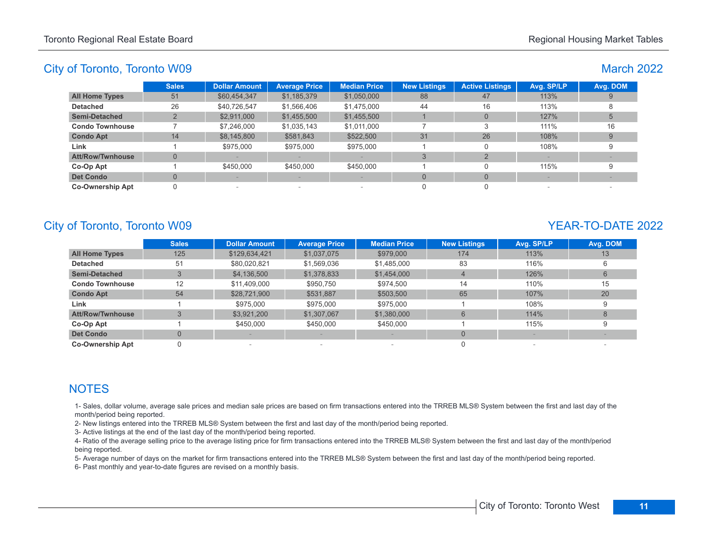# March 2022

|                         | <b>Sales</b> | <b>Dollar Amount</b> | <b>Average Price</b> | <b>Median Price</b> | <b>New Listings</b> | <b>Active Listings</b> | Avg. SP/LP | Avg. DOM |
|-------------------------|--------------|----------------------|----------------------|---------------------|---------------------|------------------------|------------|----------|
| <b>All Home Types</b>   | 51           | \$60,454,347         | \$1,185,379          | \$1,050,000         | 88                  | 47                     | 113%       |          |
| <b>Detached</b>         | 26           | \$40,726,547         | \$1,566,406          | \$1,475,000         | 44                  | 16                     | 113%       |          |
| <b>Semi-Detached</b>    |              | \$2,911,000          | \$1,455,500          | \$1,455,500         |                     | $\Omega$               | 127%       |          |
| <b>Condo Townhouse</b>  |              | \$7,246,000          | \$1,035,143          | \$1,011,000         |                     |                        | 111%       | 16       |
| <b>Condo Apt</b>        | 14           | \$8,145,800          | \$581,843            | \$522,500           | 31                  | 26                     | 108%       | 9        |
| Link                    |              | \$975,000            | \$975,000            | \$975,000           |                     |                        | 108%       |          |
| <b>Att/Row/Twnhouse</b> |              |                      |                      |                     | 3                   |                        |            |          |
| Co-Op Apt               |              | \$450,000            | \$450,000            | \$450,000           |                     |                        | 115%       |          |
| <b>Det Condo</b>        |              |                      |                      |                     | $\Omega$            | $\Omega$               |            |          |
| <b>Co-Ownership Apt</b> |              |                      | $\sim$               | $\sim$              |                     |                        |            |          |

# City of Toronto, Toronto W09 YEAR-TO-DATE 2022

|                         | <b>Sales</b> | <b>Dollar Amount</b> | <b>Average Price</b> | <b>Median Price</b> | <b>New Listings</b> | Avg. SP/LP | Avg. DOM |
|-------------------------|--------------|----------------------|----------------------|---------------------|---------------------|------------|----------|
| <b>All Home Types</b>   | 125          | \$129,634,421        | \$1,037,075          | \$979,000           | 174                 | 113%       | 13       |
| <b>Detached</b>         | 51           | \$80,020,821         | \$1,569,036          | \$1,485,000         | 83                  | 116%       |          |
| <b>Semi-Detached</b>    | 3            | \$4,136,500          | \$1,378,833          | \$1,454,000         |                     | 126%       | 6        |
| <b>Condo Townhouse</b>  | 12           | \$11,409,000         | \$950,750            | \$974.500           | 14                  | 110%       | 15       |
| <b>Condo Apt</b>        | 54           | \$28,721,900         | \$531,887            | \$503,500           | 65                  | 107%       | 20       |
| Link                    |              | \$975,000            | \$975,000            | \$975,000           |                     | 108%       |          |
| <b>Att/Row/Twnhouse</b> | 3            | \$3,921,200          | \$1,307,067          | \$1,380,000         | 6                   | 114%       | 8        |
| Co-Op Apt               |              | \$450,000            | \$450,000            | \$450,000           |                     | 115%       |          |
| <b>Det Condo</b>        | $\mathbf{0}$ |                      |                      | $\qquad \qquad$     | $\Omega$            |            |          |
| <b>Co-Ownership Apt</b> |              |                      | $\sim$               |                     |                     |            |          |

# **NOTES**

1- Sales, dollar volume, average sale prices and median sale prices are based on firm transactions entered into the TRREB MLS® System between the first and last day of the month/period being reported.

2- New listings entered into the TRREB MLS® System between the first and last day of the month/period being reported.

3- Active listings at the end of the last day of the month/period being reported.

4- Ratio of the average selling price to the average listing price for firm transactions entered into the TRREB MLS® System between the first and last day of the month/period being reported.

5- Average number of days on the market for firm transactions entered into the TRREB MLS® System between the first and last day of the month/period being reported.